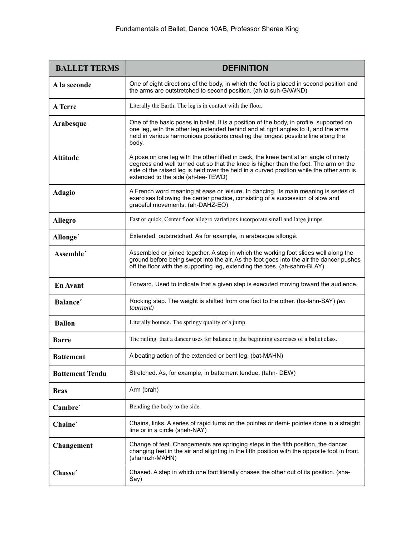| <b>BALLET TERMS</b>    | <b>DEFINITION</b>                                                                                                                                                                                                                                                                                              |
|------------------------|----------------------------------------------------------------------------------------------------------------------------------------------------------------------------------------------------------------------------------------------------------------------------------------------------------------|
| A la seconde           | One of eight directions of the body, in which the foot is placed in second position and<br>the arms are outstretched to second position. (ah la suh-GAWND)                                                                                                                                                     |
| <b>A</b> Terre         | Literally the Earth. The leg is in contact with the floor.                                                                                                                                                                                                                                                     |
| Arabesque              | One of the basic poses in ballet. It is a position of the body, in profile, supported on<br>one leg, with the other leg extended behind and at right angles to it, and the arms<br>held in various harmonious positions creating the longest possible line along the<br>body.                                  |
| <b>Attitude</b>        | A pose on one leg with the other lifted in back, the knee bent at an angle of ninety<br>degrees and well turned out so that the knee is higher than the foot. The arm on the<br>side of the raised leg is held over the held in a curved position while the other arm is<br>extended to the side (ah-tee-TEWD) |
| <b>Adagio</b>          | A French word meaning at ease or leisure. In dancing, its main meaning is series of<br>exercises following the center practice, consisting of a succession of slow and<br>graceful movements. (ah-DAHZ-EO)                                                                                                     |
| <b>Allegro</b>         | Fast or quick. Center floor allegro variations incorporate small and large jumps.                                                                                                                                                                                                                              |
| Allonge <sup>'</sup>   | Extended, outstretched. As for example, in arabesque allongé.                                                                                                                                                                                                                                                  |
| Assemble'              | Assembled or joined together. A step in which the working foot slides well along the<br>ground before being swept into the air. As the foot goes into the air the dancer pushes<br>off the floor with the supporting leg, extending the toes. (ah-sahm-BLAY)                                                   |
| <b>En Avant</b>        | Forward. Used to indicate that a given step is executed moving toward the audience.                                                                                                                                                                                                                            |
| Balance <sup>'</sup>   | Rocking step. The weight is shifted from one foot to the other. (ba-lahn-SAY) (en<br>tournant)                                                                                                                                                                                                                 |
| <b>Ballon</b>          | Literally bounce. The springy quality of a jump.                                                                                                                                                                                                                                                               |
| <b>Barre</b>           | The railing that a dancer uses for balance in the beginning exercises of a ballet class.                                                                                                                                                                                                                       |
| <b>Battement</b>       | A beating action of the extended or bent leg. (bat-MAHN)                                                                                                                                                                                                                                                       |
| <b>Battement Tendu</b> | Stretched. As, for example, in battement tendue. (tahn-DEW)                                                                                                                                                                                                                                                    |
| <b>Bras</b>            | Arm (brah)                                                                                                                                                                                                                                                                                                     |
| Cambre'                | Bending the body to the side.                                                                                                                                                                                                                                                                                  |
| Chaine'                | Chains, links. A series of rapid turns on the pointes or demi- pointes done in a straight<br>line or in a circle (sheh-NAY)                                                                                                                                                                                    |
| Changement             | Change of feet. Changements are springing steps in the fifth position, the dancer<br>changing feet in the air and alighting in the fifth position with the opposite foot in front.<br>(shahnzh-MAHN)                                                                                                           |
| Chasse'                | Chased. A step in which one foot literally chases the other out of its position. (sha-<br>Say)                                                                                                                                                                                                                 |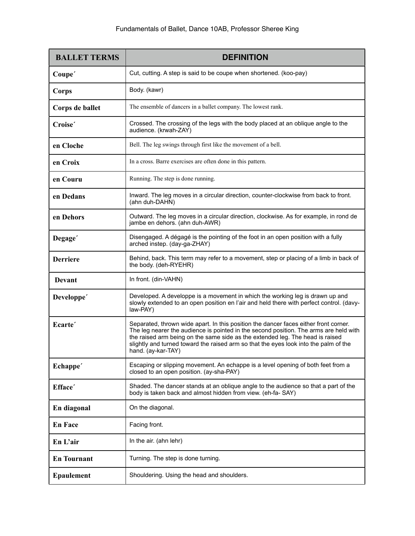| <b>BALLET TERMS</b>    | <b>DEFINITION</b>                                                                                                                                                                                                                                                                                                                                                            |
|------------------------|------------------------------------------------------------------------------------------------------------------------------------------------------------------------------------------------------------------------------------------------------------------------------------------------------------------------------------------------------------------------------|
| Coupe'                 | Cut, cutting. A step is said to be coupe when shortened. (koo-pay)                                                                                                                                                                                                                                                                                                           |
| Corps                  | Body. (kawr)                                                                                                                                                                                                                                                                                                                                                                 |
| Corps de ballet        | The ensemble of dancers in a ballet company. The lowest rank.                                                                                                                                                                                                                                                                                                                |
| Croise'                | Crossed. The crossing of the legs with the body placed at an oblique angle to the<br>audience. (krwah-ZAY)                                                                                                                                                                                                                                                                   |
| en Cloche              | Bell. The leg swings through first like the movement of a bell.                                                                                                                                                                                                                                                                                                              |
| en Croix               | In a cross. Barre exercises are often done in this pattern.                                                                                                                                                                                                                                                                                                                  |
| en Couru               | Running. The step is done running.                                                                                                                                                                                                                                                                                                                                           |
| en Dedans              | Inward. The leg moves in a circular direction, counter-clockwise from back to front.<br>(ahn duh-DAHN)                                                                                                                                                                                                                                                                       |
| en Dehors              | Outward. The leg moves in a circular direction, clockwise. As for example, in rond de<br>jambe en dehors. (ahn duh-AWR)                                                                                                                                                                                                                                                      |
| Degage <sup>'</sup>    | Disengaged. A dégagé is the pointing of the foot in an open position with a fully<br>arched instep. (day-ga-ZHAY)                                                                                                                                                                                                                                                            |
| <b>Derriere</b>        | Behind, back. This term may refer to a movement, step or placing of a limb in back of<br>the body. (deh-RYEHR)                                                                                                                                                                                                                                                               |
| Devant                 | In front. (din-VAHN)                                                                                                                                                                                                                                                                                                                                                         |
| Developpe <sup>'</sup> | Developed. A developpe is a movement in which the working leg is drawn up and<br>slowly extended to an open position en l'air and held there with perfect control. (davy-<br>law-PAY)                                                                                                                                                                                        |
| Ecarte <sup>'</sup>    | Separated, thrown wide apart. In this position the dancer faces either front corner.<br>The leg nearer the audience is pointed in the second position. The arms are held with<br>the raised arm being on the same side as the extended leg. The head is raised<br>slightly and turned toward the raised arm so that the eyes look into the palm of the<br>hand. (ay-kar-TAY) |
| Echappe <sup>'</sup>   | Escaping or slipping movement. An echappe is a level opening of both feet from a<br>closed to an open position. (ay-sha-PAY)                                                                                                                                                                                                                                                 |
| Efface'                | Shaded. The dancer stands at an oblique angle to the audience so that a part of the<br>body is taken back and almost hidden from view. (eh-fa-SAY)                                                                                                                                                                                                                           |
| En diagonal            | On the diagonal.                                                                                                                                                                                                                                                                                                                                                             |
| <b>En Face</b>         | Facing front.                                                                                                                                                                                                                                                                                                                                                                |
| En L'air               | In the air. (ahn lehr)                                                                                                                                                                                                                                                                                                                                                       |
| <b>En Tournant</b>     | Turning. The step is done turning.                                                                                                                                                                                                                                                                                                                                           |
| <b>Epaulement</b>      | Shouldering. Using the head and shoulders.                                                                                                                                                                                                                                                                                                                                   |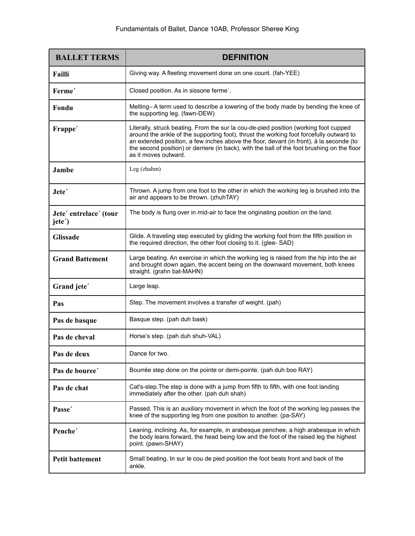| <b>BALLET TERMS</b>                         | <b>DEFINITION</b>                                                                                                                                                                                                                                                                                                                                                                                 |
|---------------------------------------------|---------------------------------------------------------------------------------------------------------------------------------------------------------------------------------------------------------------------------------------------------------------------------------------------------------------------------------------------------------------------------------------------------|
| Failli                                      | Giving way. A fleeting movement done on one count. (fah-YEE)                                                                                                                                                                                                                                                                                                                                      |
| Ferme <sup>'</sup>                          | Closed position. As in sissone ferme'.                                                                                                                                                                                                                                                                                                                                                            |
| Fondu                                       | Melting–A term used to describe a lowering of the body made by bending the knee of<br>the supporting leg. (fawn-DEW)                                                                                                                                                                                                                                                                              |
| Frappe <sup>'</sup>                         | Literally, struck beating. From the sur la cou-de-pied position (working foot cupped<br>around the ankle of the supporting foot), thrust the working foot forcefully outward to<br>an extended position, a few inches above the floor, devant (in front), à la seconde (to<br>the second position) or derriere (in back), with the ball of the foot brushing on the floor<br>as it moves outward. |
| Jambe                                       | Leg (zhahm)                                                                                                                                                                                                                                                                                                                                                                                       |
| Jete <sup>'</sup>                           | Thrown. A jump from one foot to the other in which the working leg is brushed into the<br>air and appears to be thrown. (zhuhTAY)                                                                                                                                                                                                                                                                 |
| Jete' entrelace' (tour<br>jete <sup>2</sup> | The body is flung over in mid-air to face the originating position on the land.                                                                                                                                                                                                                                                                                                                   |
| <b>Glissade</b>                             | Glide. A traveling step executed by gliding the working foot from the fifth position in<br>the required direction, the other foot closing to it. (glee-SAD)                                                                                                                                                                                                                                       |
| <b>Grand Battement</b>                      | Large beating. An exercise in which the working leg is raised from the hip into the air<br>and brought down again, the accent being on the downward movement, both knees<br>straight. (grahn bat-MAHN)                                                                                                                                                                                            |
| Grand jete'                                 | Large leap.                                                                                                                                                                                                                                                                                                                                                                                       |
| Pas                                         | Step. The movement involves a transfer of weight. (pah)                                                                                                                                                                                                                                                                                                                                           |
| Pas de basque                               | Basque step. (pah duh bask)                                                                                                                                                                                                                                                                                                                                                                       |
| Pas de cheval                               | Horse's step. (pah duh shuh-VAL)                                                                                                                                                                                                                                                                                                                                                                  |
| Pas de deux                                 | Dance for two.                                                                                                                                                                                                                                                                                                                                                                                    |
| Pas de bouree'                              | Bourrée step done on the pointe or demi-pointe. (pah duh boo RAY)                                                                                                                                                                                                                                                                                                                                 |
| Pas de chat                                 | Cat's-step. The step is done with a jump from fifth to fifth, with one foot landing<br>immediately after the other. (pah duh shah)                                                                                                                                                                                                                                                                |
| Passe <sup>'</sup>                          | Passed. This is an auxiliary movement in which the foot of the working leg passes the<br>knee of the supporting leg from one position to another. (pa-SAY)                                                                                                                                                                                                                                        |
| Penche <sup>'</sup>                         | Leaning, inclining. As, for example, in arabesque penchee, a high arabesque in which<br>the body leans forward, the head being low and the foot of the raised leg the highest<br>point. (pawn-SHAY)                                                                                                                                                                                               |
| <b>Petit battement</b>                      | Small beating. In sur le cou de pied position the foot beats front and back of the<br>ankle.                                                                                                                                                                                                                                                                                                      |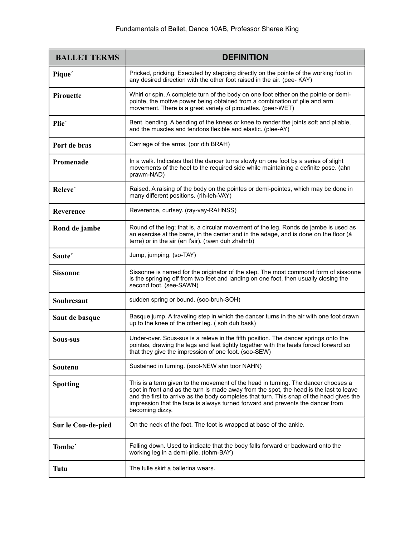| <b>BALLET TERMS</b> | <b>DEFINITION</b>                                                                                                                                                                                                                                                                                                                                                             |
|---------------------|-------------------------------------------------------------------------------------------------------------------------------------------------------------------------------------------------------------------------------------------------------------------------------------------------------------------------------------------------------------------------------|
| Pique <sup>'</sup>  | Pricked, pricking. Executed by stepping directly on the pointe of the working foot in<br>any desired direction with the other foot raised in the air. (pee- KAY)                                                                                                                                                                                                              |
| <b>Pirouette</b>    | Whirl or spin. A complete turn of the body on one foot either on the pointe or demi-<br>pointe, the motive power being obtained from a combination of plie and arm<br>movement. There is a great variety of pirouettes. (peer-WET)                                                                                                                                            |
| Plie <sup>'</sup>   | Bent, bending. A bending of the knees or knee to render the joints soft and pliable,<br>and the muscles and tendons flexible and elastic. (plee-AY)                                                                                                                                                                                                                           |
| Port de bras        | Carriage of the arms. (por dih BRAH)                                                                                                                                                                                                                                                                                                                                          |
| Promenade           | In a walk. Indicates that the dancer turns slowly on one foot by a series of slight<br>movements of the heel to the required side while maintaining a definite pose. (ahn<br>prawm-NAD)                                                                                                                                                                                       |
| Releve'             | Raised. A raising of the body on the pointes or demi-pointes, which may be done in<br>many different positions. (rih-leh-VAY)                                                                                                                                                                                                                                                 |
| Reverence           | Reverence, curtsey. (ray-vay-RAHNSS)                                                                                                                                                                                                                                                                                                                                          |
| Rond de jambe       | Round of the leg; that is, a circular movement of the leg. Ronds de jambe is used as<br>an exercise at the barre, in the center and in the adage, and is done on the floor (à<br>terre) or in the air (en l'air). (rawn duh zhahnb)                                                                                                                                           |
| Saute <sup>'</sup>  | Jump, jumping. (so-TAY)                                                                                                                                                                                                                                                                                                                                                       |
| <b>Sissonne</b>     | Sissonne is named for the originator of the step. The most commond form of sissonne<br>is the springing off from two feet and landing on one foot, then usually closing the<br>second foot. (see-SAWN)                                                                                                                                                                        |
| Soubresaut          | sudden spring or bound. (soo-bruh-SOH)                                                                                                                                                                                                                                                                                                                                        |
| Saut de basque      | Basque jump. A traveling step in which the dancer turns in the air with one foot drawn<br>up to the knee of the other leg. (soh duh bask)                                                                                                                                                                                                                                     |
| Sous-sus            | Under-over. Sous-sus is a releve in the fifth position. The dancer springs onto the<br>pointes, drawing the legs and feet tightly together with the heels forced forward so<br>that they give the impression of one foot. (soo-SEW)                                                                                                                                           |
| Soutenu             | Sustained in turning. (soot-NEW ahn toor NAHN)                                                                                                                                                                                                                                                                                                                                |
| <b>Spotting</b>     | This is a term given to the movement of the head in turning. The dancer chooses a<br>spot in front and as the turn is made away from the spot, the head is the last to leave<br>and the first to arrive as the body completes that turn. This snap of the head gives the<br>impression that the face is always turned forward and prevents the dancer from<br>becoming dizzy. |
| Sur le Cou-de-pied  | On the neck of the foot. The foot is wrapped at base of the ankle.                                                                                                                                                                                                                                                                                                            |
| Tombe <sup>'</sup>  | Falling down. Used to indicate that the body falls forward or backward onto the<br>working leg in a demi-plie. (tohm-BAY)                                                                                                                                                                                                                                                     |
| <b>Tutu</b>         | The tulle skirt a ballerina wears.                                                                                                                                                                                                                                                                                                                                            |